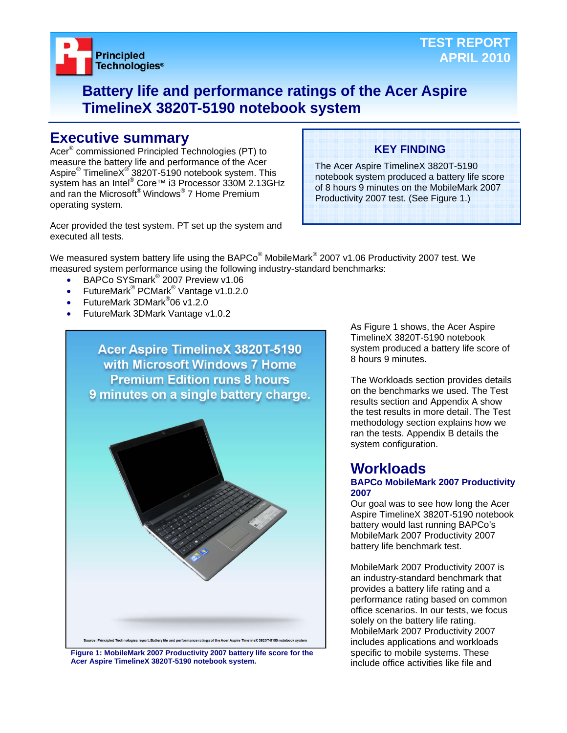

## **Battery life and performance ratings of the Acer Aspire TimelineX 3820T-5190 notebook system**

## **Executive summary**

Acer® commissioned Principled Technologies (PT) to measure the battery life and performance of the Acer Aspire® TimelineX<sup>®</sup> 3820T-5190 notebook system. This system has an Intel® Core™ i3 Processor 330M 2.13GHz and ran the Microsoft® Windows® 7 Home Premium operating system.

## **KEY FINDING**

The Acer Aspire TimelineX 3820T-5190 notebook system produced a battery life score of 8 hours 9 minutes on the MobileMark 2007 Productivity 2007 test. (See Figure 1.)

Acer provided the test system. PT set up the system and executed all tests.

We measured system battery life using the BAPCo $^{\circledast}$  MobileMark $^{\circledast}$  2007 v1.06 Productivity 2007 test. We measured system performance using the following industry-standard benchmarks:

- BAPCo SYSmark<sup>®</sup> 2007 Preview v1.06
- FutureMark<sup>®</sup> PCMark<sup>®</sup> Vantage v1.0.2.0
- FutureMark 3DMark<sup>®</sup>06 v1.2.0
- FutureMark 3DMark Vantage v1.0.2



**Figure 1: MobileMark 2007 Productivity 2007 battery life score for the Acer Aspire TimelineX 3820T-5190 notebook system.** 

As Figure 1 shows, the Acer Aspire TimelineX 3820T-5190 notebook system produced a battery life score of 8 hours 9 minutes.

The Workloads section provides details on the benchmarks we used. The Test results section and Appendix A show the test results in more detail. The Test methodology section explains how we ran the tests. Appendix B details the system configuration.

## **Workloads**

#### **BAPCo MobileMark 2007 Productivity 2007**

Our goal was to see how long the Acer Aspire TimelineX 3820T-5190 notebook battery would last running BAPCo's MobileMark 2007 Productivity 2007 battery life benchmark test.

MobileMark 2007 Productivity 2007 is an industry-standard benchmark that provides a battery life rating and a performance rating based on common office scenarios. In our tests, we focus solely on the battery life rating. MobileMark 2007 Productivity 2007 includes applications and workloads specific to mobile systems. These include office activities like file and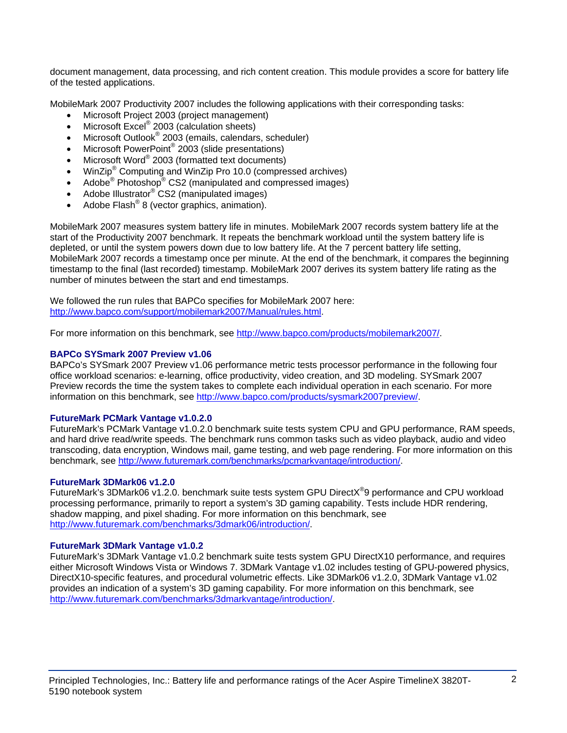document management, data processing, and rich content creation. This module provides a score for battery life of the tested applications.

MobileMark 2007 Productivity 2007 includes the following applications with their corresponding tasks:

- Microsoft Project 2003 (project management)
- Microsoft Excel<sup>®</sup> 2003 (calculation sheets)
- Microsoft Outlook<sup>®</sup> 2003 (emails, calendars, scheduler)
- Microsoft PowerPoint<sup>®</sup> 2003 (slide presentations)
- Microsoft Word® 2003 (formatted text documents)
- WinZip<sup>®</sup> Computing and WinZip Pro 10.0 (compressed archives)
- Adobe<sup>®</sup> Photoshop<sup>®</sup> CS2 (manipulated and compressed images)
- Adobe Illustrator<sup>®</sup> CS2 (manipulated images)
- Adobe Flash<sup>®</sup> 8 (vector graphics, animation).

MobileMark 2007 measures system battery life in minutes. MobileMark 2007 records system battery life at the start of the Productivity 2007 benchmark. It repeats the benchmark workload until the system battery life is depleted, or until the system powers down due to low battery life. At the 7 percent battery life setting, MobileMark 2007 records a timestamp once per minute. At the end of the benchmark, it compares the beginning timestamp to the final (last recorded) timestamp. MobileMark 2007 derives its system battery life rating as the number of minutes between the start and end timestamps.

We followed the run rules that BAPCo specifies for MobileMark 2007 here: http://www.bapco.com/support/mobilemark2007/Manual/rules.html.

For more information on this benchmark, see http://www.bapco.com/products/mobilemark2007/.

### **BAPCo SYSmark 2007 Preview v1.06**

BAPCo's SYSmark 2007 Preview v1.06 performance metric tests processor performance in the following four office workload scenarios: e-learning, office productivity, video creation, and 3D modeling. SYSmark 2007 Preview records the time the system takes to complete each individual operation in each scenario. For more information on this benchmark, see http://www.bapco.com/products/sysmark2007preview/.

#### **FutureMark PCMark Vantage v1.0.2.0**

FutureMark's PCMark Vantage v1.0.2.0 benchmark suite tests system CPU and GPU performance, RAM speeds, and hard drive read/write speeds. The benchmark runs common tasks such as video playback, audio and video transcoding, data encryption, Windows mail, game testing, and web page rendering. For more information on this benchmark, see http://www.futuremark.com/benchmarks/pcmarkvantage/introduction/.

#### **FutureMark 3DMark06 v1.2.0**

FutureMark's 3DMark06 v1.2.0. benchmark suite tests system GPU DirectX<sup>®</sup>9 performance and CPU workload processing performance, primarily to report a system's 3D gaming capability. Tests include HDR rendering, shadow mapping, and pixel shading. For more information on this benchmark, see http://www.futuremark.com/benchmarks/3dmark06/introduction/.

#### **FutureMark 3DMark Vantage v1.0.2**

FutureMark's 3DMark Vantage v1.0.2 benchmark suite tests system GPU DirectX10 performance, and requires either Microsoft Windows Vista or Windows 7. 3DMark Vantage v1.02 includes testing of GPU-powered physics, DirectX10-specific features, and procedural volumetric effects. Like 3DMark06 v1.2.0, 3DMark Vantage v1.02 provides an indication of a system's 3D gaming capability. For more information on this benchmark, see http://www.futuremark.com/benchmarks/3dmarkvantage/introduction/.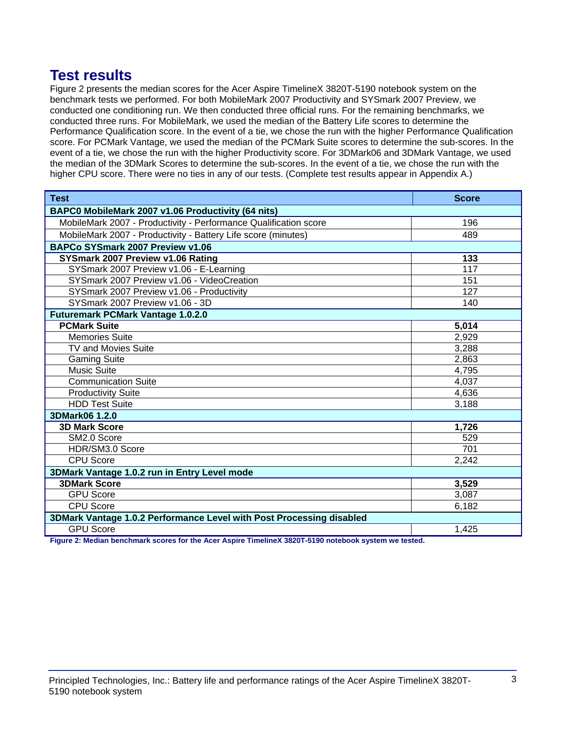## **Test results**

Figure 2 presents the median scores for the Acer Aspire TimelineX 3820T-5190 notebook system on the benchmark tests we performed. For both MobileMark 2007 Productivity and SYSmark 2007 Preview, we conducted one conditioning run. We then conducted three official runs. For the remaining benchmarks, we conducted three runs. For MobileMark, we used the median of the Battery Life scores to determine the Performance Qualification score. In the event of a tie, we chose the run with the higher Performance Qualification score. For PCMark Vantage, we used the median of the PCMark Suite scores to determine the sub-scores. In the event of a tie, we chose the run with the higher Productivity score. For 3DMark06 and 3DMark Vantage, we used the median of the 3DMark Scores to determine the sub-scores. In the event of a tie, we chose the run with the higher CPU score. There were no ties in any of our tests. (Complete test results appear in Appendix A.)

| <b>Test</b>                                                          | <b>Score</b> |  |
|----------------------------------------------------------------------|--------------|--|
| BAPC0 MobileMark 2007 v1.06 Productivity (64 nits)                   |              |  |
| MobileMark 2007 - Productivity - Performance Qualification score     | 196          |  |
| MobileMark 2007 - Productivity - Battery Life score (minutes)        | 489          |  |
| BAPCo SYSmark 2007 Preview v1.06                                     |              |  |
| SYSmark 2007 Preview v1.06 Rating                                    | 133          |  |
| SYSmark 2007 Preview v1.06 - E-Learning                              | 117          |  |
| SYSmark 2007 Preview v1.06 - VideoCreation                           | 151          |  |
| SYSmark 2007 Preview v1.06 - Productivity                            | 127          |  |
| SYSmark 2007 Preview v1.06 - 3D                                      | 140          |  |
| <b>Futuremark PCMark Vantage 1.0.2.0</b>                             |              |  |
| <b>PCMark Suite</b>                                                  | 5,014        |  |
| <b>Memories Suite</b>                                                | 2,929        |  |
| <b>TV and Movies Suite</b>                                           | 3,288        |  |
| <b>Gaming Suite</b>                                                  | 2,863        |  |
| <b>Music Suite</b>                                                   | 4,795        |  |
| <b>Communication Suite</b>                                           | 4,037        |  |
| <b>Productivity Suite</b>                                            | 4,636        |  |
| <b>HDD Test Suite</b>                                                | 3,188        |  |
| 3DMark06 1.2.0                                                       |              |  |
| <b>3D Mark Score</b>                                                 | 1,726        |  |
| SM2.0 Score                                                          | 529          |  |
| HDR/SM3.0 Score                                                      | 701          |  |
| <b>CPU Score</b>                                                     | 2,242        |  |
| 3DMark Vantage 1.0.2 run in Entry Level mode                         |              |  |
| <b>3DMark Score</b>                                                  | 3,529        |  |
| <b>GPU Score</b>                                                     | 3,087        |  |
| <b>CPU Score</b>                                                     | 6,182        |  |
| 3DMark Vantage 1.0.2 Performance Level with Post Processing disabled |              |  |
| <b>GPU Score</b>                                                     | 1,425        |  |

**Figure 2: Median benchmark scores for the Acer Aspire TimelineX 3820T-5190 notebook system we tested.**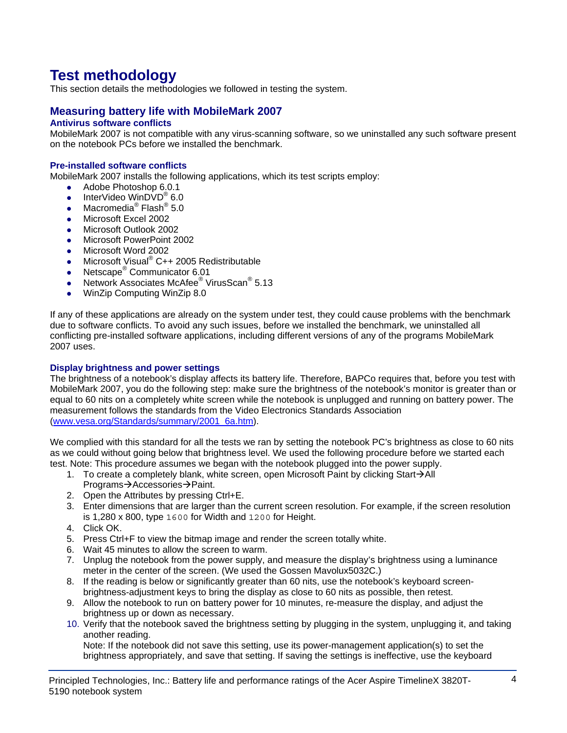# **Test methodology**

This section details the methodologies we followed in testing the system.

## **Measuring battery life with MobileMark 2007**

## **Antivirus software conflicts**

MobileMark 2007 is not compatible with any virus-scanning software, so we uninstalled any such software present on the notebook PCs before we installed the benchmark.

## **Pre-installed software conflicts**

MobileMark 2007 installs the following applications, which its test scripts employ:

- $\bullet$  Adobe Photoshop 6.0.1
- InterVideo WinDVD<sup>®</sup> 6.0
- Macromedia® Flash® 5.0
- Microsoft Excel 2002
- Microsoft Outlook 2002
- Microsoft PowerPoint 2002
- Microsoft Word 2002
- Microsoft Visual®  $C++2005$  Redistributable
- Netscape<sup>®</sup> Communicator 6.01
- Network Associates McAfee<sup>®</sup> VirusScan<sup>®</sup> 5.13
- WinZip Computing WinZip 8.0

If any of these applications are already on the system under test, they could cause problems with the benchmark due to software conflicts. To avoid any such issues, before we installed the benchmark, we uninstalled all conflicting pre-installed software applications, including different versions of any of the programs MobileMark 2007 uses.

#### **Display brightness and power settings**

The brightness of a notebook's display affects its battery life. Therefore, BAPCo requires that, before you test with MobileMark 2007, you do the following step: make sure the brightness of the notebook's monitor is greater than or equal to 60 nits on a completely white screen while the notebook is unplugged and running on battery power. The measurement follows the standards from the Video Electronics Standards Association (www.vesa.org/Standards/summary/2001\_6a.htm).

We complied with this standard for all the tests we ran by setting the notebook PC's brightness as close to 60 nits as we could without going below that brightness level. We used the following procedure before we started each test. Note: This procedure assumes we began with the notebook plugged into the power supply.

- 1. To create a completely blank, white screen, open Microsoft Paint by clicking Start $\rightarrow$ All Programs→Accessories→Paint.
- 2. Open the Attributes by pressing Ctrl+E.
- 3. Enter dimensions that are larger than the current screen resolution. For example, if the screen resolution is 1,280 x 800, type 1600 for Width and 1200 for Height.
- 4. Click OK.
- 5. Press Ctrl+F to view the bitmap image and render the screen totally white.
- 6. Wait 45 minutes to allow the screen to warm.
- 7. Unplug the notebook from the power supply, and measure the display's brightness using a luminance meter in the center of the screen. (We used the Gossen Mavolux5032C.)
- 8. If the reading is below or significantly greater than 60 nits, use the notebook's keyboard screenbrightness-adjustment keys to bring the display as close to 60 nits as possible, then retest.
- 9. Allow the notebook to run on battery power for 10 minutes, re-measure the display, and adjust the brightness up or down as necessary.
- 10. Verify that the notebook saved the brightness setting by plugging in the system, unplugging it, and taking another reading.

Note: If the notebook did not save this setting, use its power-management application(s) to set the brightness appropriately, and save that setting. If saving the settings is ineffective, use the keyboard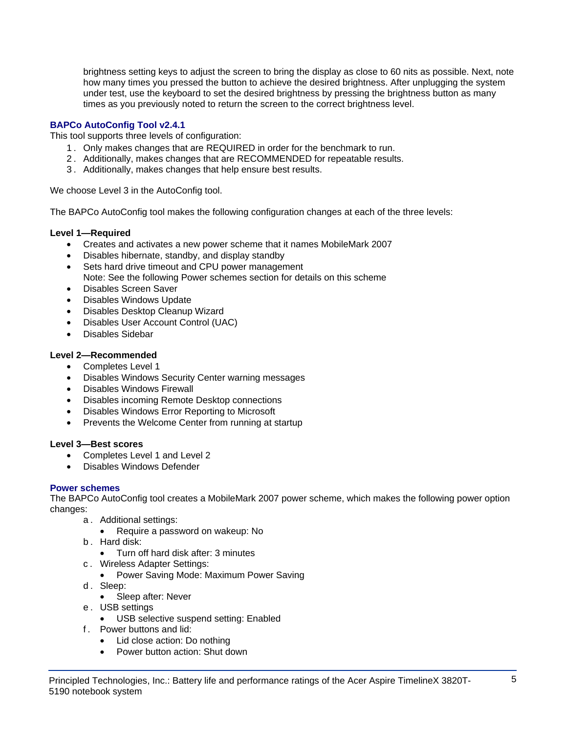brightness setting keys to adjust the screen to bring the display as close to 60 nits as possible. Next, note how many times you pressed the button to achieve the desired brightness. After unplugging the system under test, use the keyboard to set the desired brightness by pressing the brightness button as many times as you previously noted to return the screen to the correct brightness level.

## **BAPCo AutoConfig Tool v2.4.1**

This tool supports three levels of configuration:

- 1 . Only makes changes that are REQUIRED in order for the benchmark to run.
- 2 . Additionally, makes changes that are RECOMMENDED for repeatable results.
- 3 . Additionally, makes changes that help ensure best results.

We choose Level 3 in the AutoConfig tool.

The BAPCo AutoConfig tool makes the following configuration changes at each of the three levels:

## **Level 1—Required**

- Creates and activates a new power scheme that it names MobileMark 2007
- Disables hibernate, standby, and display standby
- Sets hard drive timeout and CPU power management Note: See the following Power schemes section for details on this scheme
- Disables Screen Saver
- Disables Windows Update
- Disables Desktop Cleanup Wizard
- Disables User Account Control (UAC)
- Disables Sidebar

## **Level 2—Recommended**

- Completes Level 1
- Disables Windows Security Center warning messages
- Disables Windows Firewall
- Disables incoming Remote Desktop connections
- Disables Windows Error Reporting to Microsoft
- Prevents the Welcome Center from running at startup

## **Level 3—Best scores**

- Completes Level 1 and Level 2
- Disables Windows Defender

## **Power schemes**

The BAPCo AutoConfig tool creates a MobileMark 2007 power scheme, which makes the following power option changes:

- a . Additional settings:
	- Require a password on wakeup: No
- b . Hard disk:
	- Turn off hard disk after: 3 minutes
- c . Wireless Adapter Settings:
	- Power Saving Mode: Maximum Power Saving
- d. Sleep:
	- Sleep after: Never
- e . USB settings
	- USB selective suspend setting: Enabled
- f . Power buttons and lid:
	- Lid close action: Do nothing
	- Power button action: Shut down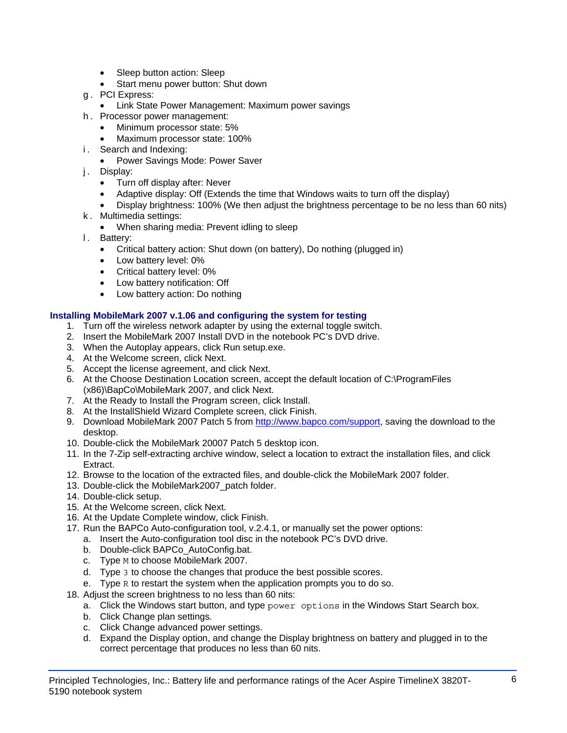- Sleep button action: Sleep
- Start menu power button: Shut down
- g . PCI Express:
	- Link State Power Management: Maximum power savings
- h . Processor power management:
	- Minimum processor state: 5%
	- Maximum processor state: 100%
- i. Search and Indexing:
	- Power Savings Mode: Power Saver
- j. Display:
	- Turn off display after: Never
	- Adaptive display: Off (Extends the time that Windows waits to turn off the display)
	- Display brightness: 100% (We then adjust the brightness percentage to be no less than 60 nits)
- k . Multimedia settings:
	- When sharing media: Prevent idling to sleep
- l. Battery:
	- Critical battery action: Shut down (on battery), Do nothing (plugged in)
	- Low battery level: 0%
	- Critical battery level: 0%
	- Low battery notification: Off
	- Low battery action: Do nothing

## **Installing MobileMark 2007 v.1.06 and configuring the system for testing**

- 1. Turn off the wireless network adapter by using the external toggle switch.
- 2. Insert the MobileMark 2007 Install DVD in the notebook PC's DVD drive.
- 3. When the Autoplay appears, click Run setup.exe.
- 4. At the Welcome screen, click Next.
- 5. Accept the license agreement, and click Next.
- 6. At the Choose Destination Location screen, accept the default location of C:\ProgramFiles (x86)\BapCo\MobileMark 2007, and click Next.
- 7. At the Ready to Install the Program screen, click Install.
- 8. At the InstallShield Wizard Complete screen, click Finish.
- 9. Download MobileMark 2007 Patch 5 from http://www.bapco.com/support, saving the download to the desktop.
- 10. Double-click the MobileMark 20007 Patch 5 desktop icon.
- 11. In the 7-Zip self-extracting archive window, select a location to extract the installation files, and click Extract.
- 12. Browse to the location of the extracted files, and double-click the MobileMark 2007 folder.
- 13. Double-click the MobileMark2007 patch folder.
- 14. Double-click setup.
- 15. At the Welcome screen, click Next.
- 16. At the Update Complete window, click Finish.
- 17. Run the BAPCo Auto-configuration tool, v.2.4.1, or manually set the power options:
	- a. Insert the Auto-configuration tool disc in the notebook PC's DVD drive.
	- b. Double-click BAPCo\_AutoConfig.bat.
	- c. Type M to choose MobileMark 2007.
	- d. Type 3 to choose the changes that produce the best possible scores.
	- e. Type R to restart the system when the application prompts you to do so.
- 18. Adjust the screen brightness to no less than 60 nits:
	- a. Click the Windows start button, and type power options in the Windows Start Search box.
	- b. Click Change plan settings.
	- c. Click Change advanced power settings.
	- d. Expand the Display option, and change the Display brightness on battery and plugged in to the correct percentage that produces no less than 60 nits.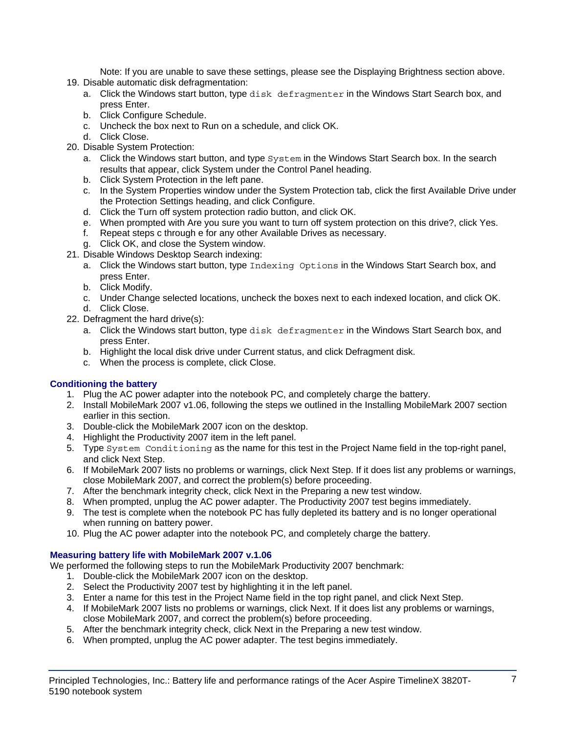Note: If you are unable to save these settings, please see the Displaying Brightness section above.

- 19. Disable automatic disk defragmentation:
	- a. Click the Windows start button, type disk defragmenter in the Windows Start Search box, and press Enter.
	- b. Click Configure Schedule.
	- c. Uncheck the box next to Run on a schedule, and click OK.
	- d. Click Close.
- 20. Disable System Protection:
	- a. Click the Windows start button, and type System in the Windows Start Search box. In the search results that appear, click System under the Control Panel heading.
	- b. Click System Protection in the left pane.
	- c. In the System Properties window under the System Protection tab, click the first Available Drive under the Protection Settings heading, and click Configure.
	- d. Click the Turn off system protection radio button, and click OK.
	- e. When prompted with Are you sure you want to turn off system protection on this drive?, click Yes.
	- f. Repeat steps c through e for any other Available Drives as necessary.
	- g. Click OK, and close the System window.
- 21. Disable Windows Desktop Search indexing:
	- a. Click the Windows start button, type Indexing Options in the Windows Start Search box, and press Enter.
	- b. Click Modify.
	- c. Under Change selected locations, uncheck the boxes next to each indexed location, and click OK. d. Click Close.
- 22. Defragment the hard drive(s):
	- a. Click the Windows start button, type disk defragmenter in the Windows Start Search box, and press Enter.
	- b. Highlight the local disk drive under Current status, and click Defragment disk.
	- c. When the process is complete, click Close.

## **Conditioning the battery**

- 1. Plug the AC power adapter into the notebook PC, and completely charge the battery.
- 2. Install MobileMark 2007 v1.06, following the steps we outlined in the Installing MobileMark 2007 section earlier in this section.
- 3. Double-click the MobileMark 2007 icon on the desktop.
- 4. Highlight the Productivity 2007 item in the left panel.
- 5. Type System Conditioning as the name for this test in the Project Name field in the top-right panel, and click Next Step.
- 6. If MobileMark 2007 lists no problems or warnings, click Next Step. If it does list any problems or warnings, close MobileMark 2007, and correct the problem(s) before proceeding.
- 7. After the benchmark integrity check, click Next in the Preparing a new test window.
- 8. When prompted, unplug the AC power adapter. The Productivity 2007 test begins immediately.
- 9. The test is complete when the notebook PC has fully depleted its battery and is no longer operational when running on battery power.
- 10. Plug the AC power adapter into the notebook PC, and completely charge the battery.

## **Measuring battery life with MobileMark 2007 v.1.06**

We performed the following steps to run the MobileMark Productivity 2007 benchmark:

- 1. Double-click the MobileMark 2007 icon on the desktop.
- 2. Select the Productivity 2007 test by highlighting it in the left panel.
- 3. Enter a name for this test in the Project Name field in the top right panel, and click Next Step.
- 4. If MobileMark 2007 lists no problems or warnings, click Next. If it does list any problems or warnings, close MobileMark 2007, and correct the problem(s) before proceeding.
- 5. After the benchmark integrity check, click Next in the Preparing a new test window.
- 6. When prompted, unplug the AC power adapter. The test begins immediately.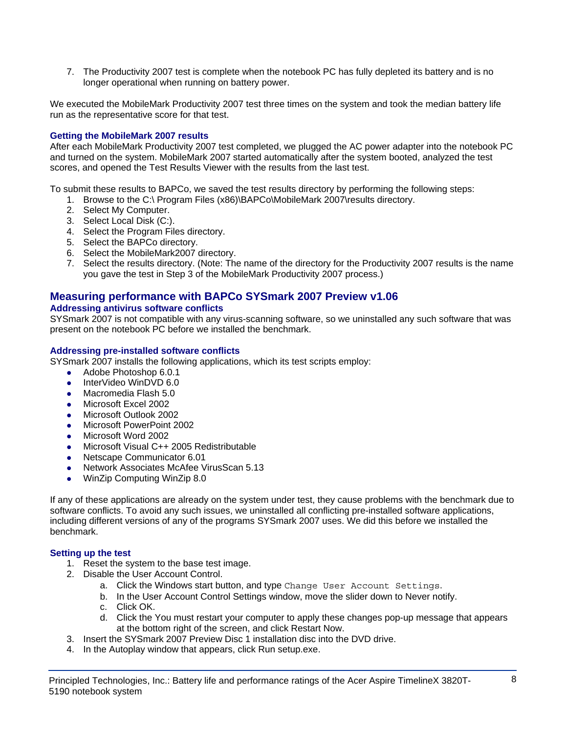7. The Productivity 2007 test is complete when the notebook PC has fully depleted its battery and is no longer operational when running on battery power.

We executed the MobileMark Productivity 2007 test three times on the system and took the median battery life run as the representative score for that test.

## **Getting the MobileMark 2007 results**

After each MobileMark Productivity 2007 test completed, we plugged the AC power adapter into the notebook PC and turned on the system. MobileMark 2007 started automatically after the system booted, analyzed the test scores, and opened the Test Results Viewer with the results from the last test.

To submit these results to BAPCo, we saved the test results directory by performing the following steps:

- 1. Browse to the C:\ Program Files (x86)\BAPCo\MobileMark 2007\results directory.
- 2. Select My Computer.
- 3. Select Local Disk (C:).
- 4. Select the Program Files directory.
- 5. Select the BAPCo directory.
- 6. Select the MobileMark2007 directory.
- 7. Select the results directory. (Note: The name of the directory for the Productivity 2007 results is the name you gave the test in Step 3 of the MobileMark Productivity 2007 process.)

## **Measuring performance with BAPCo SYSmark 2007 Preview v1.06**

### **Addressing antivirus software conflicts**

SYSmark 2007 is not compatible with any virus-scanning software, so we uninstalled any such software that was present on the notebook PC before we installed the benchmark.

#### **Addressing pre-installed software conflicts**

SYSmark 2007 installs the following applications, which its test scripts employ:

- Adobe Photoshop 6.0.1
- $\bullet$  InterVideo WinDVD 6.0
- Macromedia Flash 5.0
- Microsoft Excel 2002
- Microsoft Outlook 2002
- Microsoft PowerPoint 2002
- Microsoft Word 2002
- Microsoft Visual C++ 2005 Redistributable
- Netscape Communicator 6.01
- Network Associates McAfee VirusScan 5.13
- WinZip Computing WinZip 8.0

If any of these applications are already on the system under test, they cause problems with the benchmark due to software conflicts. To avoid any such issues, we uninstalled all conflicting pre-installed software applications, including different versions of any of the programs SYSmark 2007 uses. We did this before we installed the benchmark.

#### **Setting up the test**

- 1. Reset the system to the base test image.
- 2. Disable the User Account Control.
	- a. Click the Windows start button, and type Change User Account Settings.
	- b. In the User Account Control Settings window, move the slider down to Never notify.
	- c. Click OK.
	- d. Click the You must restart your computer to apply these changes pop-up message that appears at the bottom right of the screen, and click Restart Now.
- 3. Insert the SYSmark 2007 Preview Disc 1 installation disc into the DVD drive.
- 4. In the Autoplay window that appears, click Run setup.exe.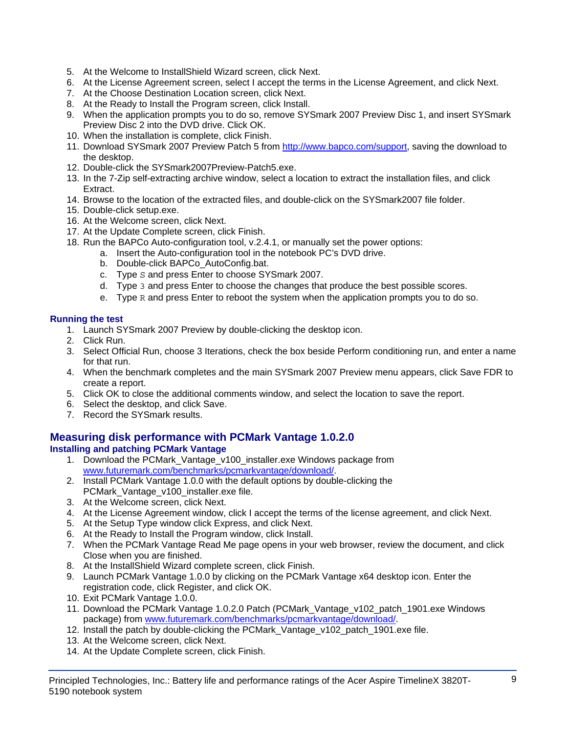- 5. At the Welcome to InstallShield Wizard screen, click Next.
- 6. At the License Agreement screen, select I accept the terms in the License Agreement, and click Next.
- 7. At the Choose Destination Location screen, click Next.
- 8. At the Ready to Install the Program screen, click Install.
- 9. When the application prompts you to do so, remove SYSmark 2007 Preview Disc 1, and insert SYSmark Preview Disc 2 into the DVD drive. Click OK.
- 10. When the installation is complete, click Finish.
- 11. Download SYSmark 2007 Preview Patch 5 from http://www.bapco.com/support, saving the download to the desktop.
- 12. Double-click the SYSmark2007Preview-Patch5.exe.
- 13. In the 7-Zip self-extracting archive window, select a location to extract the installation files, and click **Extract**
- 14. Browse to the location of the extracted files, and double-click on the SYSmark2007 file folder.
- 15. Double-click setup.exe.
- 16. At the Welcome screen, click Next.
- 17. At the Update Complete screen, click Finish.
- 18. Run the BAPCo Auto-configuration tool, v.2.4.1, or manually set the power options:
	- a. Insert the Auto-configuration tool in the notebook PC's DVD drive.
		- b. Double-click BAPCo\_AutoConfig.bat.
		- c. Type S and press Enter to choose SYSmark 2007.
		- d. Type 3 and press Enter to choose the changes that produce the best possible scores.
		- e. Type R and press Enter to reboot the system when the application prompts you to do so.

## **Running the test**

- 1. Launch SYSmark 2007 Preview by double-clicking the desktop icon.
- 2. Click Run.
- 3. Select Official Run, choose 3 Iterations, check the box beside Perform conditioning run, and enter a name for that run.
- 4. When the benchmark completes and the main SYSmark 2007 Preview menu appears, click Save FDR to create a report.
- 5. Click OK to close the additional comments window, and select the location to save the report.
- 6. Select the desktop, and click Save.
- 7. Record the SYSmark results.

## **Measuring disk performance with PCMark Vantage 1.0.2.0**

## **Installing and patching PCMark Vantage**

- 1. Download the PCMark\_Vantage\_v100\_installer.exe Windows package from www.futuremark.com/benchmarks/pcmarkvantage/download/.
- 2. Install PCMark Vantage 1.0.0 with the default options by double-clicking the PCMark\_Vantage\_v100\_installer.exe file.
- 3. At the Welcome screen, click Next.
- 4. At the License Agreement window, click I accept the terms of the license agreement, and click Next.
- 5. At the Setup Type window click Express, and click Next.
- 6. At the Ready to Install the Program window, click Install.
- 7. When the PCMark Vantage Read Me page opens in your web browser, review the document, and click Close when you are finished.
- 8. At the InstallShield Wizard complete screen, click Finish.
- 9. Launch PCMark Vantage 1.0.0 by clicking on the PCMark Vantage x64 desktop icon. Enter the registration code, click Register, and click OK.
- 10. Exit PCMark Vantage 1.0.0.
- 11. Download the PCMark Vantage 1.0.2.0 Patch (PCMark\_Vantage\_v102\_patch\_1901.exe Windows package) from www.futuremark.com/benchmarks/pcmarkvantage/download/.
- 12. Install the patch by double-clicking the PCMark Vantage v102 patch 1901.exe file.
- 13. At the Welcome screen, click Next.
- 14. At the Update Complete screen, click Finish.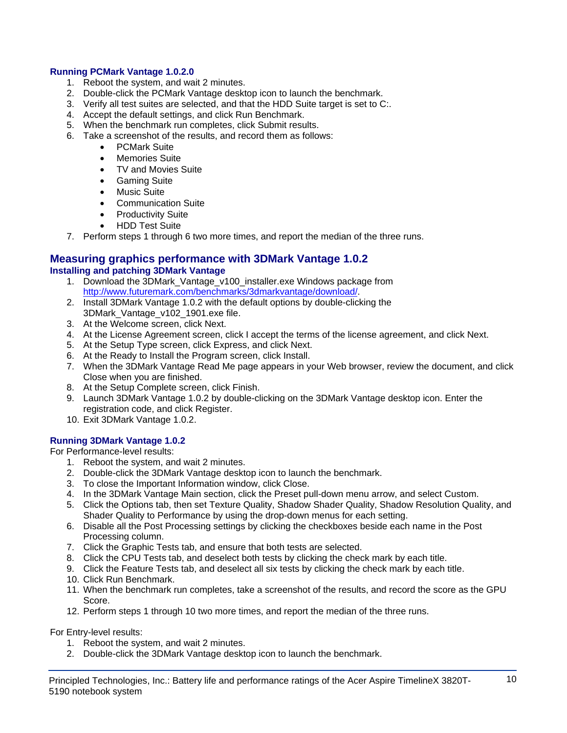## **Running PCMark Vantage 1.0.2.0**

- 1. Reboot the system, and wait 2 minutes.
- 2. Double-click the PCMark Vantage desktop icon to launch the benchmark.
- 3. Verify all test suites are selected, and that the HDD Suite target is set to C:.
- 4. Accept the default settings, and click Run Benchmark.
- 5. When the benchmark run completes, click Submit results.
- 6. Take a screenshot of the results, and record them as follows:
	- PCMark Suite
	- Memories Suite
	- TV and Movies Suite
	- Gaming Suite
	- Music Suite
	- Communication Suite
	- Productivity Suite
	- HDD Test Suite
- 7. Perform steps 1 through 6 two more times, and report the median of the three runs.

#### **Measuring graphics performance with 3DMark Vantage 1.0.2 Installing and patching 3DMark Vantage**

- 1. Download the 3DMark\_Vantage\_v100\_installer.exe Windows package from http://www.futuremark.com/benchmarks/3dmarkvantage/download/.
- 2. Install 3DMark Vantage 1.0.2 with the default options by double-clicking the 3DMark\_Vantage\_v102\_1901.exe file.
- 3. At the Welcome screen, click Next.
- 4. At the License Agreement screen, click I accept the terms of the license agreement, and click Next.
- 5. At the Setup Type screen, click Express, and click Next.
- 6. At the Ready to Install the Program screen, click Install.
- 7. When the 3DMark Vantage Read Me page appears in your Web browser, review the document, and click Close when you are finished.
- 8. At the Setup Complete screen, click Finish.
- 9. Launch 3DMark Vantage 1.0.2 by double-clicking on the 3DMark Vantage desktop icon. Enter the registration code, and click Register.
- 10. Exit 3DMark Vantage 1.0.2.

## **Running 3DMark Vantage 1.0.2**

For Performance-level results:

- 1. Reboot the system, and wait 2 minutes.
- 2. Double-click the 3DMark Vantage desktop icon to launch the benchmark.
- 3. To close the Important Information window, click Close.
- 4. In the 3DMark Vantage Main section, click the Preset pull-down menu arrow, and select Custom.
- 5. Click the Options tab, then set Texture Quality, Shadow Shader Quality, Shadow Resolution Quality, and Shader Quality to Performance by using the drop-down menus for each setting.
- 6. Disable all the Post Processing settings by clicking the checkboxes beside each name in the Post Processing column.
- 7. Click the Graphic Tests tab, and ensure that both tests are selected.
- 8. Click the CPU Tests tab, and deselect both tests by clicking the check mark by each title.
- 9. Click the Feature Tests tab, and deselect all six tests by clicking the check mark by each title.
- 10. Click Run Benchmark.
- 11. When the benchmark run completes, take a screenshot of the results, and record the score as the GPU Score.
- 12. Perform steps 1 through 10 two more times, and report the median of the three runs.

For Entry-level results:

- 1. Reboot the system, and wait 2 minutes.
- 2. Double-click the 3DMark Vantage desktop icon to launch the benchmark.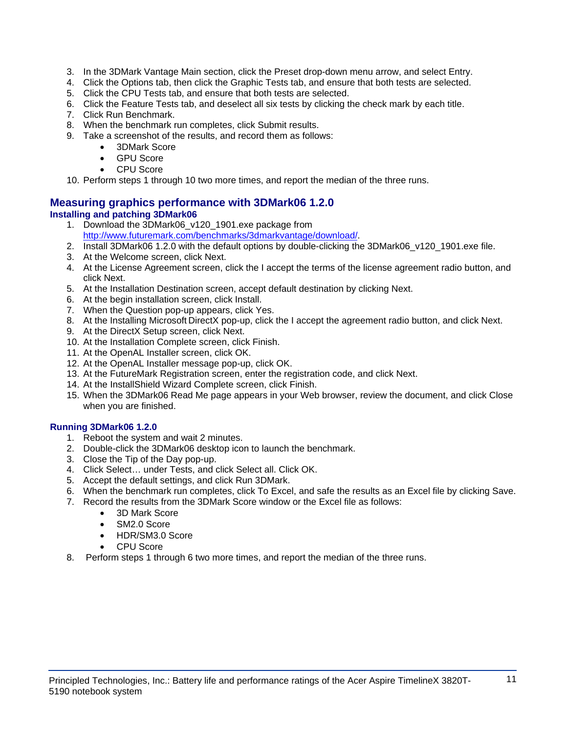- 3. In the 3DMark Vantage Main section, click the Preset drop-down menu arrow, and select Entry.
- 4. Click the Options tab, then click the Graphic Tests tab, and ensure that both tests are selected.
- 5. Click the CPU Tests tab, and ensure that both tests are selected.
- 6. Click the Feature Tests tab, and deselect all six tests by clicking the check mark by each title.
- 7. Click Run Benchmark.
- 8. When the benchmark run completes, click Submit results.
- 9. Take a screenshot of the results, and record them as follows:
	- 3DMark Score
	- GPU Score
	- CPU Score

10. Perform steps 1 through 10 two more times, and report the median of the three runs.

## **Measuring graphics performance with 3DMark06 1.2.0 Installing and patching 3DMark06**

- 1. Download the 3DMark06\_v120\_1901.exe package from http://www.futuremark.com/benchmarks/3dmarkvantage/download/.
- 2. Install 3DMark06 1.2.0 with the default options by double-clicking the 3DMark06 v120 1901.exe file.
- 3. At the Welcome screen, click Next.
- 4. At the License Agreement screen, click the I accept the terms of the license agreement radio button, and click Next.
- 5. At the Installation Destination screen, accept default destination by clicking Next.
- 6. At the begin installation screen, click Install.
- 7. When the Question pop-up appears, click Yes.
- 8. At the Installing Microsoft DirectX pop-up, click the I accept the agreement radio button, and click Next.
- 9. At the DirectX Setup screen, click Next.
- 10. At the Installation Complete screen, click Finish.
- 11. At the OpenAL Installer screen, click OK.
- 12. At the OpenAL Installer message pop-up, click OK.
- 13. At the FutureMark Registration screen, enter the registration code, and click Next.
- 14. At the InstallShield Wizard Complete screen, click Finish.
- 15. When the 3DMark06 Read Me page appears in your Web browser, review the document, and click Close when you are finished.

## **Running 3DMark06 1.2.0**

- 1. Reboot the system and wait 2 minutes.
- 2. Double-click the 3DMark06 desktop icon to launch the benchmark.
- 3. Close the Tip of the Day pop-up.
- 4. Click Select… under Tests, and click Select all. Click OK.
- 5. Accept the default settings, and click Run 3DMark.
- 6. When the benchmark run completes, click To Excel, and safe the results as an Excel file by clicking Save.
- 7. Record the results from the 3DMark Score window or the Excel file as follows:
	- 3D Mark Score
	- SM2.0 Score
	- HDR/SM3.0 Score
	- CPU Score
- 8. Perform steps 1 through 6 two more times, and report the median of the three runs.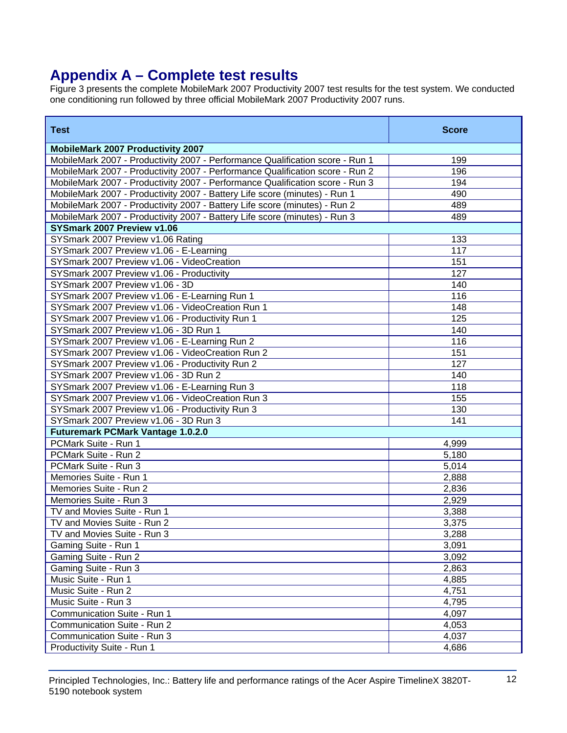# **Appendix A – Complete test results**

Figure 3 presents the complete MobileMark 2007 Productivity 2007 test results for the test system. We conducted one conditioning run followed by three official MobileMark 2007 Productivity 2007 runs.

| <b>Test</b>                                                                   | <b>Score</b> |
|-------------------------------------------------------------------------------|--------------|
| <b>MobileMark 2007 Productivity 2007</b>                                      |              |
| MobileMark 2007 - Productivity 2007 - Performance Qualification score - Run 1 | 199          |
| MobileMark 2007 - Productivity 2007 - Performance Qualification score - Run 2 | 196          |
| MobileMark 2007 - Productivity 2007 - Performance Qualification score - Run 3 | 194          |
| MobileMark 2007 - Productivity 2007 - Battery Life score (minutes) - Run 1    | 490          |
| MobileMark 2007 - Productivity 2007 - Battery Life score (minutes) - Run 2    | 489          |
| MobileMark 2007 - Productivity 2007 - Battery Life score (minutes) - Run 3    | 489          |
| SYSmark 2007 Preview v1.06                                                    |              |
| SYSmark 2007 Preview v1.06 Rating                                             | 133          |
| SYSmark 2007 Preview v1.06 - E-Learning                                       | 117          |
| SYSmark 2007 Preview v1.06 - VideoCreation                                    | 151          |
| SYSmark 2007 Preview v1.06 - Productivity                                     | 127          |
| SYSmark 2007 Preview v1.06 - 3D                                               | 140          |
| SYSmark 2007 Preview v1.06 - E-Learning Run 1                                 | 116          |
| SYSmark 2007 Preview v1.06 - VideoCreation Run 1                              | 148          |
| SYSmark 2007 Preview v1.06 - Productivity Run 1                               | 125          |
| SYSmark 2007 Preview v1.06 - 3D Run 1                                         | 140          |
| SYSmark 2007 Preview v1.06 - E-Learning Run 2                                 | 116          |
| SYSmark 2007 Preview v1.06 - VideoCreation Run 2                              | 151          |
| SYSmark 2007 Preview v1.06 - Productivity Run 2                               | 127          |
| SYSmark 2007 Preview v1.06 - 3D Run 2                                         | 140          |
| SYSmark 2007 Preview v1.06 - E-Learning Run 3                                 | 118          |
| SYSmark 2007 Preview v1.06 - VideoCreation Run 3                              | 155          |
| SYSmark 2007 Preview v1.06 - Productivity Run 3                               | 130          |
| SYSmark 2007 Preview v1.06 - 3D Run 3                                         | 141          |
| <b>Futuremark PCMark Vantage 1.0.2.0</b>                                      |              |
| PCMark Suite - Run 1                                                          | 4,999        |
| PCMark Suite - Run 2                                                          | 5,180        |
| PCMark Suite - Run 3                                                          | 5,014        |
| Memories Suite - Run 1                                                        | 2,888        |
| Memories Suite - Run 2                                                        | 2,836        |
| Memories Suite - Run 3                                                        | 2,929        |
| TV and Movies Suite - Run 1                                                   | 3,388        |
| TV and Movies Suite - Run 2                                                   | 3,375        |
| TV and Movies Suite - Run 3                                                   | 3,288        |
| Gaming Suite - Run 1                                                          | 3,091        |
| Gaming Suite - Run 2                                                          | 3,092        |
| Gaming Suite - Run 3                                                          | 2,863        |
| Music Suite - Run 1                                                           | 4,885        |
| Music Suite - Run 2                                                           | 4,751        |
| Music Suite - Run 3                                                           | 4,795        |
| Communication Suite - Run 1                                                   | 4,097        |
| Communication Suite - Run 2                                                   | 4,053        |
| Communication Suite - Run 3                                                   | 4,037        |
| Productivity Suite - Run 1                                                    | 4,686        |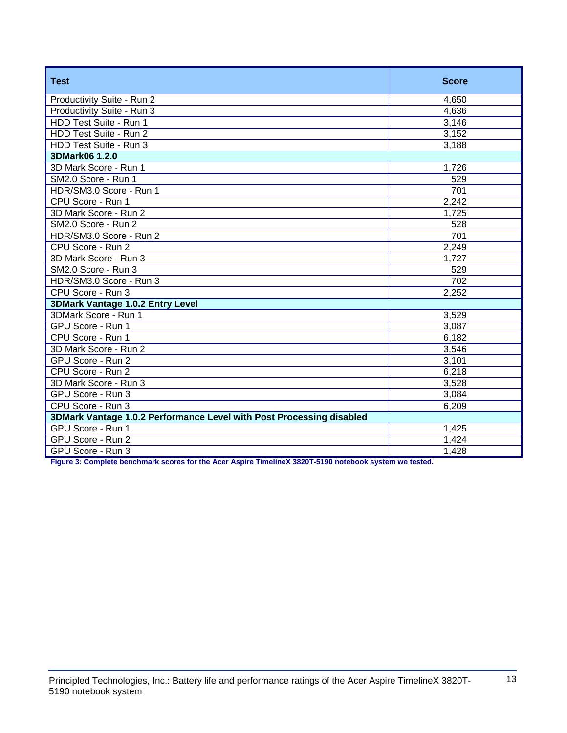| <b>Test</b>                                                          | <b>Score</b>     |  |
|----------------------------------------------------------------------|------------------|--|
| Productivity Suite - Run 2                                           | 4,650            |  |
| Productivity Suite - Run 3                                           | 4,636            |  |
| HDD Test Suite - Run 1                                               | 3,146            |  |
| HDD Test Suite - Run 2                                               | 3,152            |  |
| HDD Test Suite - Run 3                                               | 3,188            |  |
| 3DMark06 1.2.0                                                       |                  |  |
| 3D Mark Score - Run 1                                                | 1,726            |  |
| SM2.0 Score - Run 1                                                  | 529              |  |
| HDR/SM3.0 Score - Run 1                                              | 701              |  |
| CPU Score - Run 1                                                    | 2,242            |  |
| 3D Mark Score - Run 2                                                | 1,725            |  |
| SM2.0 Score - Run 2                                                  | 528              |  |
| HDR/SM3.0 Score - Run 2                                              | 701              |  |
| CPU Score - Run 2                                                    | 2,249            |  |
| 3D Mark Score - Run 3                                                | 1,727            |  |
| SM2.0 Score - Run 3                                                  | 529              |  |
| HDR/SM3.0 Score - Run 3                                              | $\overline{702}$ |  |
| CPU Score - Run 3                                                    | 2,252            |  |
| 3DMark Vantage 1.0.2 Entry Level                                     |                  |  |
| 3DMark Score - Run 1                                                 | 3,529            |  |
| GPU Score - Run 1                                                    | 3,087            |  |
| CPU Score - Run 1                                                    | 6,182            |  |
| 3D Mark Score - Run 2                                                | 3,546            |  |
| GPU Score - Run 2                                                    | 3,101            |  |
| CPU Score - Run 2                                                    | 6,218            |  |
| 3D Mark Score - Run 3                                                | 3,528            |  |
| GPU Score - Run 3                                                    | 3,084            |  |
| CPU Score - Run 3                                                    | 6,209            |  |
| 3DMark Vantage 1.0.2 Performance Level with Post Processing disabled |                  |  |
| GPU Score - Run 1                                                    | 1,425            |  |
| GPU Score - Run 2                                                    | 1,424            |  |
| GPU Score - Run 3                                                    | 1,428            |  |

**Figure 3: Complete benchmark scores for the Acer Aspire TimelineX 3820T-5190 notebook system we tested.**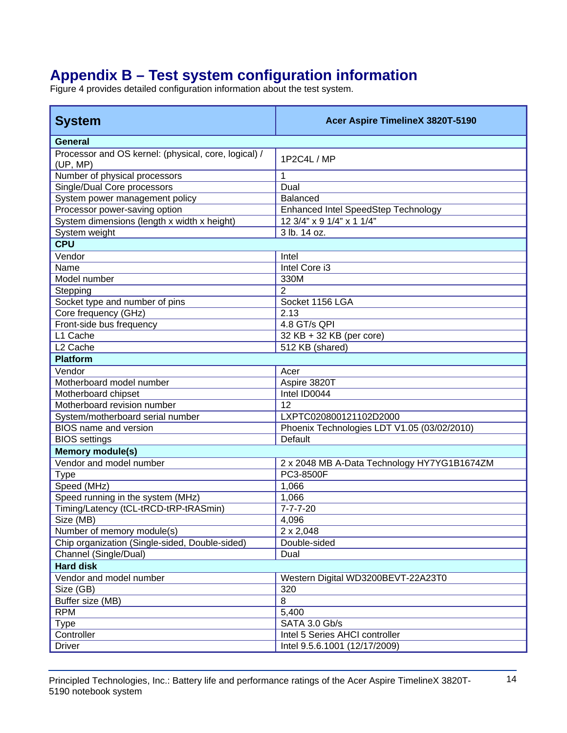# **Appendix B – Test system configuration information**

Figure 4 provides detailed configuration information about the test system.

| <b>System</b>                                                    | Acer Aspire TimelineX 3820T-5190            |
|------------------------------------------------------------------|---------------------------------------------|
| <b>General</b>                                                   |                                             |
| Processor and OS kernel: (physical, core, logical) /<br>(UP, MP) | 1P2C4L / MP                                 |
| Number of physical processors                                    | 1                                           |
| Single/Dual Core processors                                      | Dual                                        |
| System power management policy                                   | <b>Balanced</b>                             |
| Processor power-saving option                                    | Enhanced Intel SpeedStep Technology         |
| System dimensions (length x width x height)                      | 12 3/4" x 9 1/4" x 1 1/4"                   |
| System weight                                                    | 3 lb. 14 oz.                                |
| <b>CPU</b>                                                       |                                             |
| Vendor                                                           | Intel                                       |
| Name                                                             | Intel Core i3                               |
| Model number                                                     | 330M                                        |
| Stepping                                                         | $\overline{2}$                              |
| Socket type and number of pins                                   | Socket 1156 LGA                             |
| Core frequency (GHz)                                             | 2.13                                        |
| Front-side bus frequency                                         | 4.8 GT/s QPI                                |
| L1 Cache                                                         | 32 KB + 32 KB (per core)                    |
| L <sub>2</sub> Cache                                             | 512 KB (shared)                             |
| <b>Platform</b>                                                  |                                             |
| Vendor                                                           | Acer                                        |
| Motherboard model number                                         | Aspire 3820T                                |
| Motherboard chipset                                              | Intel ID0044                                |
| Motherboard revision number                                      | 12                                          |
| System/motherboard serial number                                 | LXPTC020800121102D2000                      |
| <b>BIOS</b> name and version                                     | Phoenix Technologies LDT V1.05 (03/02/2010) |
| <b>BIOS</b> settings                                             | Default                                     |
| <b>Memory module(s)</b>                                          |                                             |
| Vendor and model number                                          | 2 x 2048 MB A-Data Technology HY7YG1B1674ZM |
| <b>Type</b>                                                      | PC3-8500F                                   |
| Speed (MHz)                                                      | 1,066                                       |
| Speed running in the system (MHz)                                | 1,066                                       |
| Timing/Latency (tCL-tRCD-tRP-tRASmin)                            | $7 - 7 - 7 - 20$                            |
| Size (MB)                                                        | 4,096                                       |
| Number of memory module(s)                                       | $2 \times 2,048$                            |
| Chip organization (Single-sided, Double-sided)                   | Double-sided                                |
| Channel (Single/Dual)                                            | Dual                                        |
| <b>Hard disk</b>                                                 |                                             |
| Vendor and model number                                          | Western Digital WD3200BEVT-22A23T0          |
| Size (GB)                                                        | 320                                         |
| Buffer size (MB)                                                 | 8                                           |
| <b>RPM</b>                                                       | 5,400                                       |
| <b>Type</b>                                                      | SATA 3.0 Gb/s                               |
| Controller                                                       | Intel 5 Series AHCI controller              |
| <b>Driver</b>                                                    | Intel 9.5.6.1001 (12/17/2009)               |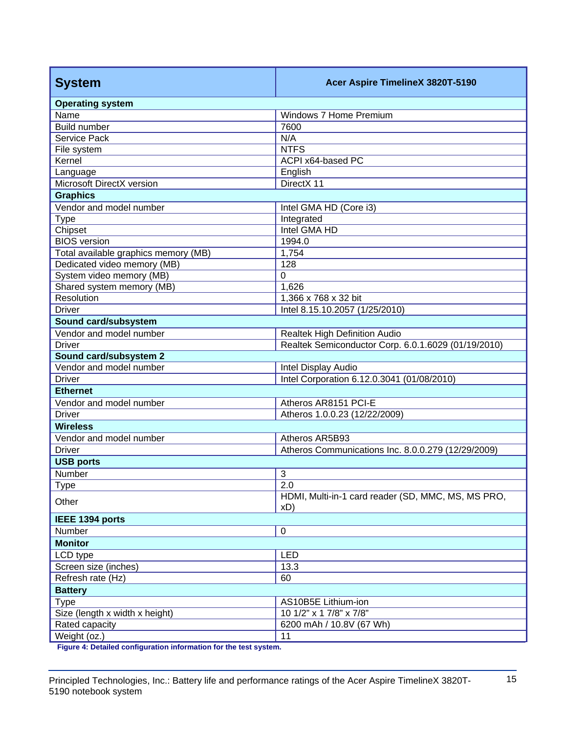| <b>System</b>                        | Acer Aspire TimelineX 3820T-5190                          |  |
|--------------------------------------|-----------------------------------------------------------|--|
| <b>Operating system</b>              |                                                           |  |
| Name                                 | Windows 7 Home Premium                                    |  |
| <b>Build number</b>                  | 7600                                                      |  |
| Service Pack                         | N/A                                                       |  |
| File system                          | <b>NTFS</b>                                               |  |
| Kernel                               | ACPI x64-based PC                                         |  |
| Language                             | English                                                   |  |
| Microsoft DirectX version            | DirectX 11                                                |  |
| <b>Graphics</b>                      |                                                           |  |
| Vendor and model number              | Intel GMA HD (Core i3)                                    |  |
| <b>Type</b>                          | Integrated                                                |  |
| Chipset                              | Intel GMA HD                                              |  |
| <b>BIOS</b> version                  | 1994.0                                                    |  |
| Total available graphics memory (MB) | 1,754                                                     |  |
| Dedicated video memory (MB)          | 128                                                       |  |
| System video memory (MB)             | $\Omega$                                                  |  |
| Shared system memory (MB)            | 1,626                                                     |  |
| Resolution                           | 1,366 x 768 x 32 bit                                      |  |
| <b>Driver</b>                        | Intel 8.15.10.2057 (1/25/2010)                            |  |
| Sound card/subsystem                 |                                                           |  |
| Vendor and model number              | Realtek High Definition Audio                             |  |
| <b>Driver</b>                        | Realtek Semiconductor Corp. 6.0.1.6029 (01/19/2010)       |  |
| Sound card/subsystem 2               |                                                           |  |
| Vendor and model number              | Intel Display Audio                                       |  |
| <b>Driver</b>                        | Intel Corporation 6.12.0.3041 (01/08/2010)                |  |
| <b>Ethernet</b>                      |                                                           |  |
| Vendor and model number              | Atheros AR8151 PCI-E                                      |  |
| <b>Driver</b>                        | Atheros 1.0.0.23 (12/22/2009)                             |  |
| <b>Wireless</b>                      |                                                           |  |
| Vendor and model number              | Atheros AR5B93                                            |  |
| <b>Driver</b>                        | Atheros Communications Inc. 8.0.0.279 (12/29/2009)        |  |
| <b>USB ports</b>                     |                                                           |  |
| Number                               | 3                                                         |  |
| <u>lype</u>                          | $\overline{2.0}$                                          |  |
| Other                                | HDMI, Multi-in-1 card reader (SD, MMC, MS, MS PRO,<br>xD) |  |
| IEEE 1394 ports                      |                                                           |  |
| Number                               | $\boldsymbol{0}$                                          |  |
| <b>Monitor</b>                       |                                                           |  |
| LCD type                             | LED                                                       |  |
| Screen size (inches)                 | 13.3                                                      |  |
| Refresh rate (Hz)                    | 60                                                        |  |
| <b>Battery</b>                       |                                                           |  |
| <b>Type</b>                          | AS10B5E Lithium-ion                                       |  |
| Size (length x width x height)       | $10$ 1/2" x 1 7/8" x 7/8"                                 |  |
| Rated capacity                       | 6200 mAh / 10.8V (67 Wh)                                  |  |
| Weight (oz.)                         | 11                                                        |  |

**Figure 4: Detailed configuration information for the test system.**